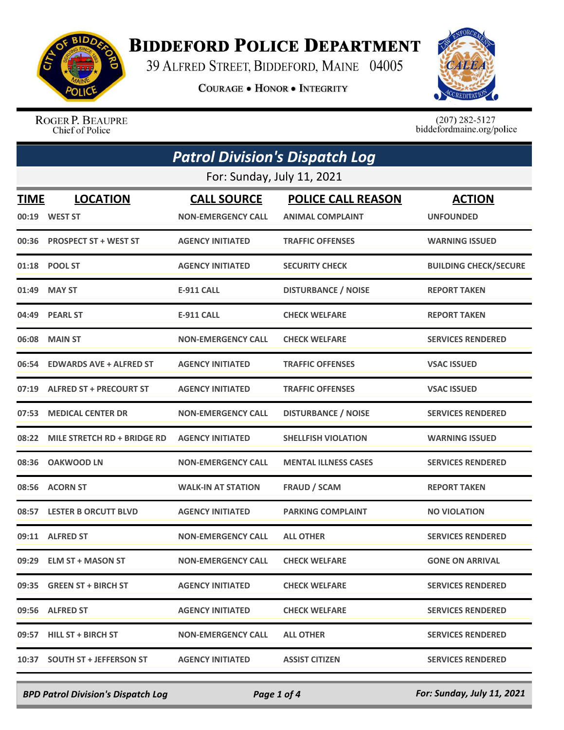

## **BIDDEFORD POLICE DEPARTMENT**

39 ALFRED STREET, BIDDEFORD, MAINE 04005

**COURAGE . HONOR . INTEGRITY** 



ROGER P. BEAUPRE Chief of Police

 $(207)$  282-5127<br>biddefordmaine.org/police

|               | <b>Patrol Division's Dispatch Log</b> |                                                 |                                                      |                                   |  |
|---------------|---------------------------------------|-------------------------------------------------|------------------------------------------------------|-----------------------------------|--|
|               | For: Sunday, July 11, 2021            |                                                 |                                                      |                                   |  |
| TIME<br>00:19 | <b>LOCATION</b><br><b>WEST ST</b>     | <b>CALL SOURCE</b><br><b>NON-EMERGENCY CALL</b> | <b>POLICE CALL REASON</b><br><b>ANIMAL COMPLAINT</b> | <b>ACTION</b><br><b>UNFOUNDED</b> |  |
| 00:36         | <b>PROSPECT ST + WEST ST</b>          | <b>AGENCY INITIATED</b>                         | <b>TRAFFIC OFFENSES</b>                              | <b>WARNING ISSUED</b>             |  |
|               | 01:18 POOL ST                         | <b>AGENCY INITIATED</b>                         | <b>SECURITY CHECK</b>                                | <b>BUILDING CHECK/SECURE</b>      |  |
| 01:49         | <b>MAY ST</b>                         | <b>E-911 CALL</b>                               | <b>DISTURBANCE / NOISE</b>                           | <b>REPORT TAKEN</b>               |  |
| 04:49         | <b>PEARL ST</b>                       | <b>E-911 CALL</b>                               | <b>CHECK WELFARE</b>                                 | <b>REPORT TAKEN</b>               |  |
| 06:08         | <b>MAIN ST</b>                        | <b>NON-EMERGENCY CALL</b>                       | <b>CHECK WELFARE</b>                                 | <b>SERVICES RENDERED</b>          |  |
| 06:54         | <b>EDWARDS AVE + ALFRED ST</b>        | <b>AGENCY INITIATED</b>                         | <b>TRAFFIC OFFENSES</b>                              | <b>VSAC ISSUED</b>                |  |
| 07:19         | <b>ALFRED ST + PRECOURT ST</b>        | <b>AGENCY INITIATED</b>                         | <b>TRAFFIC OFFENSES</b>                              | <b>VSAC ISSUED</b>                |  |
| 07:53         | <b>MEDICAL CENTER DR</b>              | <b>NON-EMERGENCY CALL</b>                       | <b>DISTURBANCE / NOISE</b>                           | <b>SERVICES RENDERED</b>          |  |
| 08:22         | MILE STRETCH RD + BRIDGE RD           | <b>AGENCY INITIATED</b>                         | <b>SHELLFISH VIOLATION</b>                           | <b>WARNING ISSUED</b>             |  |
| 08:36         | <b>OAKWOOD LN</b>                     | <b>NON-EMERGENCY CALL</b>                       | <b>MENTAL ILLNESS CASES</b>                          | <b>SERVICES RENDERED</b>          |  |
| 08:56         | <b>ACORN ST</b>                       | <b>WALK-IN AT STATION</b>                       | <b>FRAUD / SCAM</b>                                  | <b>REPORT TAKEN</b>               |  |
| 08:57         | <b>LESTER B ORCUTT BLVD</b>           | <b>AGENCY INITIATED</b>                         | <b>PARKING COMPLAINT</b>                             | <b>NO VIOLATION</b>               |  |
| 09:11         | <b>ALFRED ST</b>                      | <b>NON-EMERGENCY CALL</b>                       | <b>ALL OTHER</b>                                     | <b>SERVICES RENDERED</b>          |  |
|               | 09:29 ELM ST + MASON ST               | <b>NON-EMERGENCY CALL</b>                       | <b>CHECK WELFARE</b>                                 | <b>GONE ON ARRIVAL</b>            |  |
|               | 09:35 GREEN ST + BIRCH ST             | <b>AGENCY INITIATED</b>                         | <b>CHECK WELFARE</b>                                 | <b>SERVICES RENDERED</b>          |  |
|               | 09:56 ALFRED ST                       | <b>AGENCY INITIATED</b>                         | <b>CHECK WELFARE</b>                                 | <b>SERVICES RENDERED</b>          |  |
|               | 09:57 HILL ST + BIRCH ST              | <b>NON-EMERGENCY CALL</b>                       | <b>ALL OTHER</b>                                     | <b>SERVICES RENDERED</b>          |  |
| 10:37         | <b>SOUTH ST + JEFFERSON ST</b>        | <b>AGENCY INITIATED</b>                         | <b>ASSIST CITIZEN</b>                                | <b>SERVICES RENDERED</b>          |  |

*BPD Patrol Division's Dispatch Log Page 1 of 4 For: Sunday, July 11, 2021*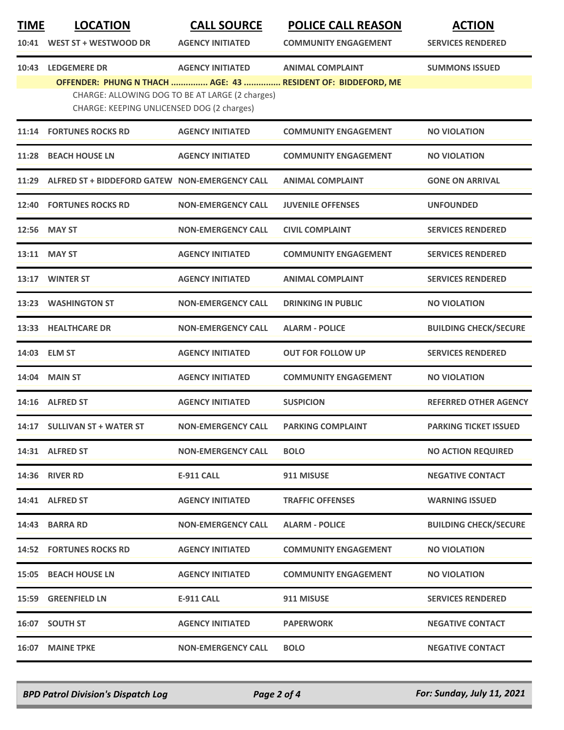| WEST ST + WESTWOOD DR<br>10:41<br><b>AGENCY INITIATED</b><br><b>SERVICES RENDERED</b><br><b>COMMUNITY ENGAGEMENT</b><br><b>LEDGEMERE DR</b><br><b>AGENCY INITIATED</b><br><b>ANIMAL COMPLAINT</b><br><b>SUMMONS ISSUED</b><br>10:43<br>OFFENDER: PHUNG N THACH  AGE: 43  RESIDENT OF: BIDDEFORD, ME<br>CHARGE: ALLOWING DOG TO BE AT LARGE (2 charges)<br>CHARGE: KEEPING UNLICENSED DOG (2 charges)<br><b>FORTUNES ROCKS RD</b><br><b>AGENCY INITIATED</b><br><b>COMMUNITY ENGAGEMENT</b><br>11:14<br><b>NO VIOLATION</b><br><b>BEACH HOUSE LN</b><br><b>AGENCY INITIATED</b><br><b>COMMUNITY ENGAGEMENT</b><br>11:28<br><b>NO VIOLATION</b><br>ALFRED ST + BIDDEFORD GATEW NON-EMERGENCY CALL<br>11:29<br><b>ANIMAL COMPLAINT</b><br><b>GONE ON ARRIVAL</b><br><b>FORTUNES ROCKS RD</b><br><b>NON-EMERGENCY CALL</b><br><b>JUVENILE OFFENSES</b><br>12:40<br><b>UNFOUNDED</b><br><b>MAY ST</b><br><b>NON-EMERGENCY CALL</b><br><b>CIVIL COMPLAINT</b><br><b>SERVICES RENDERED</b><br>12:56<br>13:11 MAY ST<br><b>AGENCY INITIATED</b><br><b>COMMUNITY ENGAGEMENT</b><br><b>SERVICES RENDERED</b><br>13:17 WINTER ST<br><b>AGENCY INITIATED</b><br><b>ANIMAL COMPLAINT</b><br><b>SERVICES RENDERED</b><br><b>WASHINGTON ST</b><br><b>NON-EMERGENCY CALL</b><br><b>DRINKING IN PUBLIC</b><br><b>NO VIOLATION</b><br>13:23<br><b>HEALTHCARE DR</b><br><b>NON-EMERGENCY CALL</b><br><b>ALARM - POLICE</b><br>13:33<br>14:03 ELM ST<br><b>AGENCY INITIATED</b><br><b>SERVICES RENDERED</b><br><b>OUT FOR FOLLOW UP</b><br>14:04 MAIN ST<br><b>COMMUNITY ENGAGEMENT</b><br><b>AGENCY INITIATED</b><br><b>NO VIOLATION</b><br>14:16 ALFRED ST<br><b>AGENCY INITIATED</b><br><b>SUSPICION</b><br><b>SULLIVAN ST + WATER ST</b><br><b>NON-EMERGENCY CALL</b><br><b>PARKING COMPLAINT</b><br>14:17<br><b>PARKING TICKET ISSUED</b><br>14:31 ALFRED ST<br><b>NON-EMERGENCY CALL</b><br><b>BOLO</b><br><b>NO ACTION REQUIRED</b><br><b>14:36 RIVER RD</b><br>911 MISUSE<br><b>E-911 CALL</b><br><b>NEGATIVE CONTACT</b><br>14:41 ALFRED ST<br><b>AGENCY INITIATED</b><br><b>TRAFFIC OFFENSES</b><br><b>WARNING ISSUED</b><br>14:43 BARRA RD<br><b>NON-EMERGENCY CALL</b><br><b>ALARM - POLICE</b><br><b>14:52 FORTUNES ROCKS RD</b><br><b>AGENCY INITIATED</b><br><b>COMMUNITY ENGAGEMENT</b><br><b>NO VIOLATION</b><br><b>15:05 BEACH HOUSE LN</b><br><b>AGENCY INITIATED</b><br><b>COMMUNITY ENGAGEMENT</b><br><b>NO VIOLATION</b><br><b>15:59 GREENFIELD LN</b><br><b>E-911 CALL</b><br>911 MISUSE<br><b>SERVICES RENDERED</b><br>16:07 SOUTH ST<br><b>AGENCY INITIATED</b><br><b>PAPERWORK</b><br><b>NEGATIVE CONTACT</b><br>16:07 MAINE TPKE<br><b>NON-EMERGENCY CALL</b><br><b>BOLO</b><br><b>NEGATIVE CONTACT</b> | <b>TIME</b> | <b>LOCATION</b> | <b>CALL SOURCE</b> | <b>POLICE CALL REASON</b> | <b>ACTION</b>                |
|----------------------------------------------------------------------------------------------------------------------------------------------------------------------------------------------------------------------------------------------------------------------------------------------------------------------------------------------------------------------------------------------------------------------------------------------------------------------------------------------------------------------------------------------------------------------------------------------------------------------------------------------------------------------------------------------------------------------------------------------------------------------------------------------------------------------------------------------------------------------------------------------------------------------------------------------------------------------------------------------------------------------------------------------------------------------------------------------------------------------------------------------------------------------------------------------------------------------------------------------------------------------------------------------------------------------------------------------------------------------------------------------------------------------------------------------------------------------------------------------------------------------------------------------------------------------------------------------------------------------------------------------------------------------------------------------------------------------------------------------------------------------------------------------------------------------------------------------------------------------------------------------------------------------------------------------------------------------------------------------------------------------------------------------------------------------------------------------------------------------------------------------------------------------------------------------------------------------------------------------------------------------------------------------------------------------------------------------------------------------------------------------------------------------------------------------------------------------------------------------------------------------------------------------------------------------------------------------------------------------------------------------------------------------------------------------------------------|-------------|-----------------|--------------------|---------------------------|------------------------------|
|                                                                                                                                                                                                                                                                                                                                                                                                                                                                                                                                                                                                                                                                                                                                                                                                                                                                                                                                                                                                                                                                                                                                                                                                                                                                                                                                                                                                                                                                                                                                                                                                                                                                                                                                                                                                                                                                                                                                                                                                                                                                                                                                                                                                                                                                                                                                                                                                                                                                                                                                                                                                                                                                                                                |             |                 |                    |                           |                              |
|                                                                                                                                                                                                                                                                                                                                                                                                                                                                                                                                                                                                                                                                                                                                                                                                                                                                                                                                                                                                                                                                                                                                                                                                                                                                                                                                                                                                                                                                                                                                                                                                                                                                                                                                                                                                                                                                                                                                                                                                                                                                                                                                                                                                                                                                                                                                                                                                                                                                                                                                                                                                                                                                                                                |             |                 |                    |                           |                              |
|                                                                                                                                                                                                                                                                                                                                                                                                                                                                                                                                                                                                                                                                                                                                                                                                                                                                                                                                                                                                                                                                                                                                                                                                                                                                                                                                                                                                                                                                                                                                                                                                                                                                                                                                                                                                                                                                                                                                                                                                                                                                                                                                                                                                                                                                                                                                                                                                                                                                                                                                                                                                                                                                                                                |             |                 |                    |                           |                              |
|                                                                                                                                                                                                                                                                                                                                                                                                                                                                                                                                                                                                                                                                                                                                                                                                                                                                                                                                                                                                                                                                                                                                                                                                                                                                                                                                                                                                                                                                                                                                                                                                                                                                                                                                                                                                                                                                                                                                                                                                                                                                                                                                                                                                                                                                                                                                                                                                                                                                                                                                                                                                                                                                                                                |             |                 |                    |                           |                              |
|                                                                                                                                                                                                                                                                                                                                                                                                                                                                                                                                                                                                                                                                                                                                                                                                                                                                                                                                                                                                                                                                                                                                                                                                                                                                                                                                                                                                                                                                                                                                                                                                                                                                                                                                                                                                                                                                                                                                                                                                                                                                                                                                                                                                                                                                                                                                                                                                                                                                                                                                                                                                                                                                                                                |             |                 |                    |                           |                              |
|                                                                                                                                                                                                                                                                                                                                                                                                                                                                                                                                                                                                                                                                                                                                                                                                                                                                                                                                                                                                                                                                                                                                                                                                                                                                                                                                                                                                                                                                                                                                                                                                                                                                                                                                                                                                                                                                                                                                                                                                                                                                                                                                                                                                                                                                                                                                                                                                                                                                                                                                                                                                                                                                                                                |             |                 |                    |                           |                              |
|                                                                                                                                                                                                                                                                                                                                                                                                                                                                                                                                                                                                                                                                                                                                                                                                                                                                                                                                                                                                                                                                                                                                                                                                                                                                                                                                                                                                                                                                                                                                                                                                                                                                                                                                                                                                                                                                                                                                                                                                                                                                                                                                                                                                                                                                                                                                                                                                                                                                                                                                                                                                                                                                                                                |             |                 |                    |                           |                              |
|                                                                                                                                                                                                                                                                                                                                                                                                                                                                                                                                                                                                                                                                                                                                                                                                                                                                                                                                                                                                                                                                                                                                                                                                                                                                                                                                                                                                                                                                                                                                                                                                                                                                                                                                                                                                                                                                                                                                                                                                                                                                                                                                                                                                                                                                                                                                                                                                                                                                                                                                                                                                                                                                                                                |             |                 |                    |                           |                              |
|                                                                                                                                                                                                                                                                                                                                                                                                                                                                                                                                                                                                                                                                                                                                                                                                                                                                                                                                                                                                                                                                                                                                                                                                                                                                                                                                                                                                                                                                                                                                                                                                                                                                                                                                                                                                                                                                                                                                                                                                                                                                                                                                                                                                                                                                                                                                                                                                                                                                                                                                                                                                                                                                                                                |             |                 |                    |                           |                              |
|                                                                                                                                                                                                                                                                                                                                                                                                                                                                                                                                                                                                                                                                                                                                                                                                                                                                                                                                                                                                                                                                                                                                                                                                                                                                                                                                                                                                                                                                                                                                                                                                                                                                                                                                                                                                                                                                                                                                                                                                                                                                                                                                                                                                                                                                                                                                                                                                                                                                                                                                                                                                                                                                                                                |             |                 |                    |                           |                              |
|                                                                                                                                                                                                                                                                                                                                                                                                                                                                                                                                                                                                                                                                                                                                                                                                                                                                                                                                                                                                                                                                                                                                                                                                                                                                                                                                                                                                                                                                                                                                                                                                                                                                                                                                                                                                                                                                                                                                                                                                                                                                                                                                                                                                                                                                                                                                                                                                                                                                                                                                                                                                                                                                                                                |             |                 |                    |                           |                              |
|                                                                                                                                                                                                                                                                                                                                                                                                                                                                                                                                                                                                                                                                                                                                                                                                                                                                                                                                                                                                                                                                                                                                                                                                                                                                                                                                                                                                                                                                                                                                                                                                                                                                                                                                                                                                                                                                                                                                                                                                                                                                                                                                                                                                                                                                                                                                                                                                                                                                                                                                                                                                                                                                                                                |             |                 |                    |                           |                              |
|                                                                                                                                                                                                                                                                                                                                                                                                                                                                                                                                                                                                                                                                                                                                                                                                                                                                                                                                                                                                                                                                                                                                                                                                                                                                                                                                                                                                                                                                                                                                                                                                                                                                                                                                                                                                                                                                                                                                                                                                                                                                                                                                                                                                                                                                                                                                                                                                                                                                                                                                                                                                                                                                                                                |             |                 |                    |                           | <b>BUILDING CHECK/SECURE</b> |
|                                                                                                                                                                                                                                                                                                                                                                                                                                                                                                                                                                                                                                                                                                                                                                                                                                                                                                                                                                                                                                                                                                                                                                                                                                                                                                                                                                                                                                                                                                                                                                                                                                                                                                                                                                                                                                                                                                                                                                                                                                                                                                                                                                                                                                                                                                                                                                                                                                                                                                                                                                                                                                                                                                                |             |                 |                    |                           |                              |
|                                                                                                                                                                                                                                                                                                                                                                                                                                                                                                                                                                                                                                                                                                                                                                                                                                                                                                                                                                                                                                                                                                                                                                                                                                                                                                                                                                                                                                                                                                                                                                                                                                                                                                                                                                                                                                                                                                                                                                                                                                                                                                                                                                                                                                                                                                                                                                                                                                                                                                                                                                                                                                                                                                                |             |                 |                    |                           |                              |
|                                                                                                                                                                                                                                                                                                                                                                                                                                                                                                                                                                                                                                                                                                                                                                                                                                                                                                                                                                                                                                                                                                                                                                                                                                                                                                                                                                                                                                                                                                                                                                                                                                                                                                                                                                                                                                                                                                                                                                                                                                                                                                                                                                                                                                                                                                                                                                                                                                                                                                                                                                                                                                                                                                                |             |                 |                    |                           | <b>REFERRED OTHER AGENCY</b> |
|                                                                                                                                                                                                                                                                                                                                                                                                                                                                                                                                                                                                                                                                                                                                                                                                                                                                                                                                                                                                                                                                                                                                                                                                                                                                                                                                                                                                                                                                                                                                                                                                                                                                                                                                                                                                                                                                                                                                                                                                                                                                                                                                                                                                                                                                                                                                                                                                                                                                                                                                                                                                                                                                                                                |             |                 |                    |                           |                              |
|                                                                                                                                                                                                                                                                                                                                                                                                                                                                                                                                                                                                                                                                                                                                                                                                                                                                                                                                                                                                                                                                                                                                                                                                                                                                                                                                                                                                                                                                                                                                                                                                                                                                                                                                                                                                                                                                                                                                                                                                                                                                                                                                                                                                                                                                                                                                                                                                                                                                                                                                                                                                                                                                                                                |             |                 |                    |                           |                              |
|                                                                                                                                                                                                                                                                                                                                                                                                                                                                                                                                                                                                                                                                                                                                                                                                                                                                                                                                                                                                                                                                                                                                                                                                                                                                                                                                                                                                                                                                                                                                                                                                                                                                                                                                                                                                                                                                                                                                                                                                                                                                                                                                                                                                                                                                                                                                                                                                                                                                                                                                                                                                                                                                                                                |             |                 |                    |                           |                              |
|                                                                                                                                                                                                                                                                                                                                                                                                                                                                                                                                                                                                                                                                                                                                                                                                                                                                                                                                                                                                                                                                                                                                                                                                                                                                                                                                                                                                                                                                                                                                                                                                                                                                                                                                                                                                                                                                                                                                                                                                                                                                                                                                                                                                                                                                                                                                                                                                                                                                                                                                                                                                                                                                                                                |             |                 |                    |                           |                              |
|                                                                                                                                                                                                                                                                                                                                                                                                                                                                                                                                                                                                                                                                                                                                                                                                                                                                                                                                                                                                                                                                                                                                                                                                                                                                                                                                                                                                                                                                                                                                                                                                                                                                                                                                                                                                                                                                                                                                                                                                                                                                                                                                                                                                                                                                                                                                                                                                                                                                                                                                                                                                                                                                                                                |             |                 |                    |                           | <b>BUILDING CHECK/SECURE</b> |
|                                                                                                                                                                                                                                                                                                                                                                                                                                                                                                                                                                                                                                                                                                                                                                                                                                                                                                                                                                                                                                                                                                                                                                                                                                                                                                                                                                                                                                                                                                                                                                                                                                                                                                                                                                                                                                                                                                                                                                                                                                                                                                                                                                                                                                                                                                                                                                                                                                                                                                                                                                                                                                                                                                                |             |                 |                    |                           |                              |
|                                                                                                                                                                                                                                                                                                                                                                                                                                                                                                                                                                                                                                                                                                                                                                                                                                                                                                                                                                                                                                                                                                                                                                                                                                                                                                                                                                                                                                                                                                                                                                                                                                                                                                                                                                                                                                                                                                                                                                                                                                                                                                                                                                                                                                                                                                                                                                                                                                                                                                                                                                                                                                                                                                                |             |                 |                    |                           |                              |
|                                                                                                                                                                                                                                                                                                                                                                                                                                                                                                                                                                                                                                                                                                                                                                                                                                                                                                                                                                                                                                                                                                                                                                                                                                                                                                                                                                                                                                                                                                                                                                                                                                                                                                                                                                                                                                                                                                                                                                                                                                                                                                                                                                                                                                                                                                                                                                                                                                                                                                                                                                                                                                                                                                                |             |                 |                    |                           |                              |
|                                                                                                                                                                                                                                                                                                                                                                                                                                                                                                                                                                                                                                                                                                                                                                                                                                                                                                                                                                                                                                                                                                                                                                                                                                                                                                                                                                                                                                                                                                                                                                                                                                                                                                                                                                                                                                                                                                                                                                                                                                                                                                                                                                                                                                                                                                                                                                                                                                                                                                                                                                                                                                                                                                                |             |                 |                    |                           |                              |
|                                                                                                                                                                                                                                                                                                                                                                                                                                                                                                                                                                                                                                                                                                                                                                                                                                                                                                                                                                                                                                                                                                                                                                                                                                                                                                                                                                                                                                                                                                                                                                                                                                                                                                                                                                                                                                                                                                                                                                                                                                                                                                                                                                                                                                                                                                                                                                                                                                                                                                                                                                                                                                                                                                                |             |                 |                    |                           |                              |

*BPD Patrol Division's Dispatch Log Page 2 of 4 For: Sunday, July 11, 2021*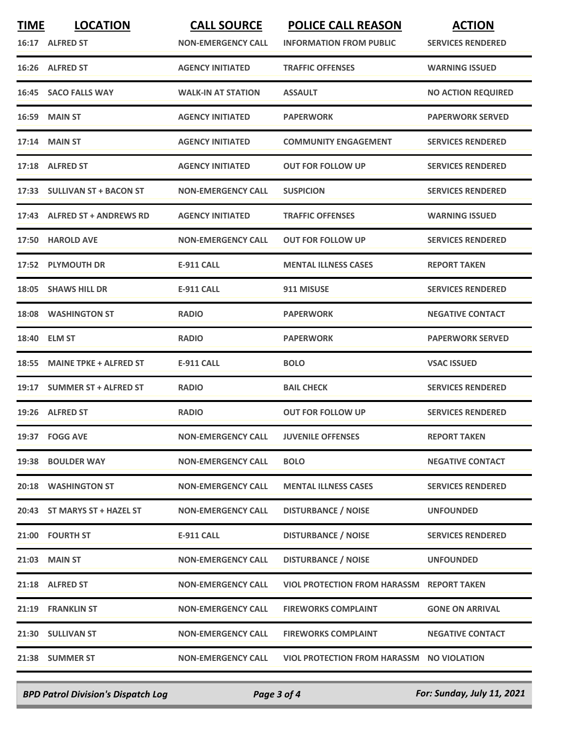| <b>TIME</b> | <b>LOCATION</b><br>16:17 ALFRED ST | <b>CALL SOURCE</b><br><b>NON-EMERGENCY CALL</b> | <b>POLICE CALL REASON</b><br><b>INFORMATION FROM PUBLIC</b> | <b>ACTION</b><br><b>SERVICES RENDERED</b> |
|-------------|------------------------------------|-------------------------------------------------|-------------------------------------------------------------|-------------------------------------------|
|             | 16:26 ALFRED ST                    | <b>AGENCY INITIATED</b>                         | <b>TRAFFIC OFFENSES</b>                                     | <b>WARNING ISSUED</b>                     |
| 16:45       | <b>SACO FALLS WAY</b>              | <b>WALK-IN AT STATION</b>                       | <b>ASSAULT</b>                                              | <b>NO ACTION REQUIRED</b>                 |
| 16:59       | <b>MAIN ST</b>                     | <b>AGENCY INITIATED</b>                         | <b>PAPERWORK</b>                                            | <b>PAPERWORK SERVED</b>                   |
|             | 17:14 MAIN ST                      | <b>AGENCY INITIATED</b>                         | <b>COMMUNITY ENGAGEMENT</b>                                 | <b>SERVICES RENDERED</b>                  |
|             | 17:18 ALFRED ST                    | <b>AGENCY INITIATED</b>                         | <b>OUT FOR FOLLOW UP</b>                                    | <b>SERVICES RENDERED</b>                  |
|             | 17:33 SULLIVAN ST + BACON ST       | <b>NON-EMERGENCY CALL</b>                       | <b>SUSPICION</b>                                            | <b>SERVICES RENDERED</b>                  |
|             | 17:43 ALFRED ST + ANDREWS RD       | <b>AGENCY INITIATED</b>                         | <b>TRAFFIC OFFENSES</b>                                     | <b>WARNING ISSUED</b>                     |
| 17:50       | <b>HAROLD AVE</b>                  | <b>NON-EMERGENCY CALL</b>                       | <b>OUT FOR FOLLOW UP</b>                                    | <b>SERVICES RENDERED</b>                  |
|             | 17:52 PLYMOUTH DR                  | <b>E-911 CALL</b>                               | <b>MENTAL ILLNESS CASES</b>                                 | <b>REPORT TAKEN</b>                       |
| 18:05       | <b>SHAWS HILL DR</b>               | <b>E-911 CALL</b>                               | 911 MISUSE                                                  | <b>SERVICES RENDERED</b>                  |
| 18:08       | <b>WASHINGTON ST</b>               | <b>RADIO</b>                                    | <b>PAPERWORK</b>                                            | <b>NEGATIVE CONTACT</b>                   |
| 18:40       | <b>ELM ST</b>                      | <b>RADIO</b>                                    | <b>PAPERWORK</b>                                            | <b>PAPERWORK SERVED</b>                   |
| 18:55       | <b>MAINE TPKE + ALFRED ST</b>      | <b>E-911 CALL</b>                               | <b>BOLO</b>                                                 | <b>VSAC ISSUED</b>                        |
| 19:17       | <b>SUMMER ST + ALFRED ST</b>       | <b>RADIO</b>                                    | <b>BAIL CHECK</b>                                           | <b>SERVICES RENDERED</b>                  |
|             | 19:26 ALFRED ST                    | <b>RADIO</b>                                    | <b>OUT FOR FOLLOW UP</b>                                    | <b>SERVICES RENDERED</b>                  |
|             | 19:37 FOGG AVE                     | <b>NON-EMERGENCY CALL</b>                       | <b>JUVENILE OFFENSES</b>                                    | <b>REPORT TAKEN</b>                       |
|             | 19:38 BOULDER WAY                  | <b>NON-EMERGENCY CALL</b>                       | <b>BOLO</b>                                                 | <b>NEGATIVE CONTACT</b>                   |
|             | 20:18 WASHINGTON ST                | <b>NON-EMERGENCY CALL</b>                       | <b>MENTAL ILLNESS CASES</b>                                 | <b>SERVICES RENDERED</b>                  |
|             | 20:43 ST MARYS ST + HAZEL ST       | <b>NON-EMERGENCY CALL</b>                       | <b>DISTURBANCE / NOISE</b>                                  | <b>UNFOUNDED</b>                          |
|             | 21:00 FOURTH ST                    | <b>E-911 CALL</b>                               | <b>DISTURBANCE / NOISE</b>                                  | <b>SERVICES RENDERED</b>                  |
|             | <b>21:03 MAIN ST</b>               | <b>NON-EMERGENCY CALL</b>                       | <b>DISTURBANCE / NOISE</b>                                  | <b>UNFOUNDED</b>                          |
|             | 21:18 ALFRED ST                    | <b>NON-EMERGENCY CALL</b>                       | <b>VIOL PROTECTION FROM HARASSM REPORT TAKEN</b>            |                                           |
|             | 21:19 FRANKLIN ST                  | <b>NON-EMERGENCY CALL</b>                       | <b>FIREWORKS COMPLAINT</b>                                  | <b>GONE ON ARRIVAL</b>                    |
|             | 21:30 SULLIVAN ST                  | <b>NON-EMERGENCY CALL</b>                       | <b>FIREWORKS COMPLAINT</b>                                  | <b>NEGATIVE CONTACT</b>                   |
|             | 21:38 SUMMER ST                    | <b>NON-EMERGENCY CALL</b>                       | VIOL PROTECTION FROM HARASSM NO VIOLATION                   |                                           |
|             |                                    |                                                 |                                                             |                                           |

*BPD Patrol Division's Dispatch Log Page 3 of 4 For: Sunday, July 11, 2021*